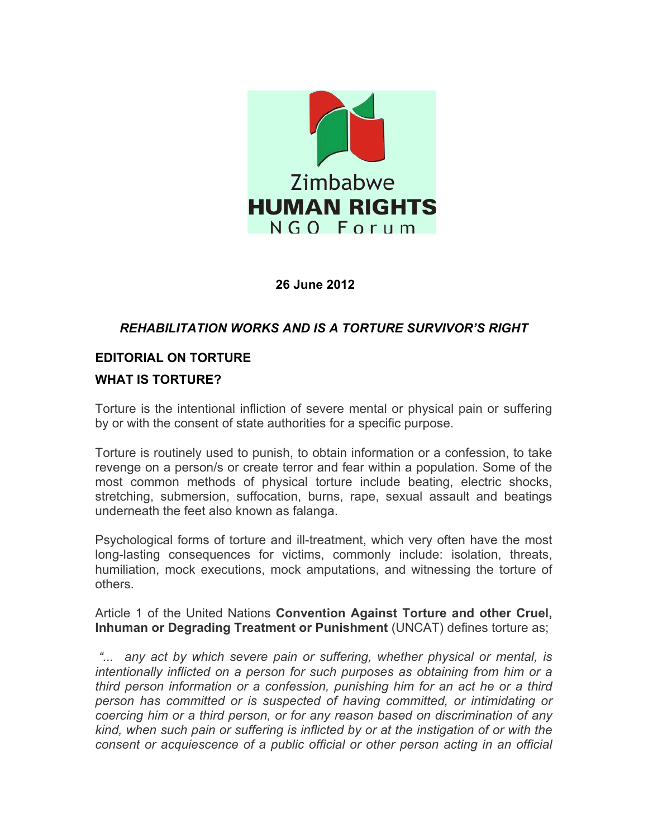

# **26 June 2012**

# *REHABILITATION WORKS AND IS A TORTURE SURVIVOR'S RIGHT*

# **EDITORIAL ON TORTURE**

# **WHAT IS TORTURE?**

Torture is the intentional infliction of severe mental or physical pain or suffering by or with the consent of state authorities for a specific purpose.

Torture is routinely used to punish, to obtain information or a confession, to take revenge on a person/s or create terror and fear within a population. Some of the most common methods of physical torture include beating, electric shocks, stretching, submersion, suffocation, burns, rape, sexual assault and beatings underneath the feet also known as falanga.

Psychological forms of torture and ill-treatment, which very often have the most long-lasting consequences for victims, commonly include: isolation, threats, humiliation, mock executions, mock amputations, and witnessing the torture of others.

Article 1 of the United Nations **Convention Against Torture and other Cruel, Inhuman or Degrading Treatment or Punishment** (UNCAT) defines torture as;

*"... any act by which severe pain or suffering, whether physical or mental, is intentionally inflicted on a person for such purposes as obtaining from him or a third person information or a confession, punishing him for an act he or a third person has committed or is suspected of having committed, or intimidating or coercing him or a third person, or for any reason based on discrimination of any kind, when such pain or suffering is inflicted by or at the instigation of or with the consent or acquiescence of a public official or other person acting in an official*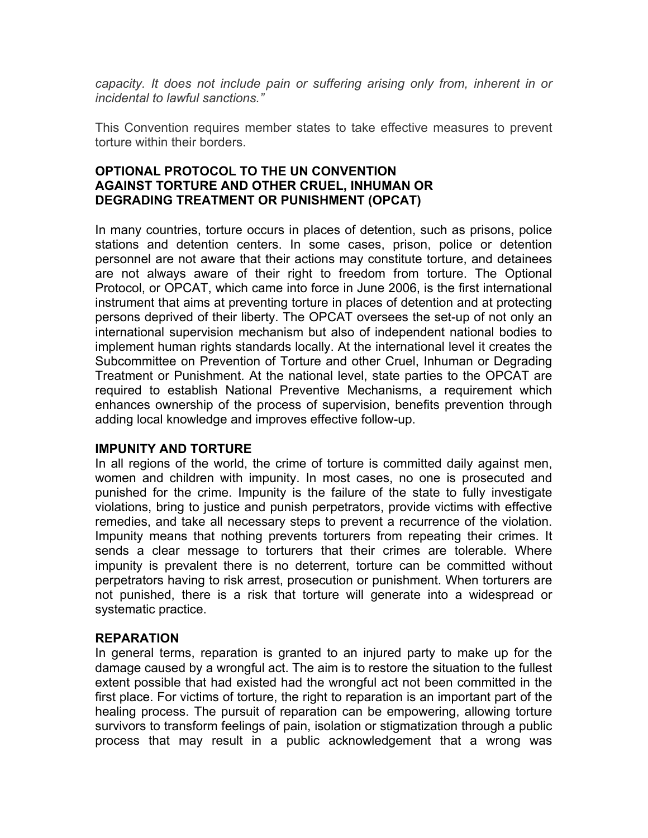*capacity. It does not include pain or suffering arising only from, inherent in or incidental to lawful sanctions."*

This Convention requires member states to take effective measures to prevent torture within their borders.

# **OPTIONAL PROTOCOL TO THE UN CONVENTION AGAINST TORTURE AND OTHER CRUEL, INHUMAN OR DEGRADING TREATMENT OR PUNISHMENT (OPCAT)**

In many countries, torture occurs in places of detention, such as prisons, police stations and detention centers. In some cases, prison, police or detention personnel are not aware that their actions may constitute torture, and detainees are not always aware of their right to freedom from torture. The Optional Protocol, or OPCAT, which came into force in June 2006, is the first international instrument that aims at preventing torture in places of detention and at protecting persons deprived of their liberty. The OPCAT oversees the set-up of not only an international supervision mechanism but also of independent national bodies to implement human rights standards locally. At the international level it creates the Subcommittee on Prevention of Torture and other Cruel, Inhuman or Degrading Treatment or Punishment. At the national level, state parties to the OPCAT are required to establish National Preventive Mechanisms, a requirement which enhances ownership of the process of supervision, benefits prevention through adding local knowledge and improves effective follow-up.

### **IMPUNITY AND TORTURE**

In all regions of the world, the crime of torture is committed daily against men, women and children with impunity. In most cases, no one is prosecuted and punished for the crime. Impunity is the failure of the state to fully investigate violations, bring to justice and punish perpetrators, provide victims with effective remedies, and take all necessary steps to prevent a recurrence of the violation. Impunity means that nothing prevents torturers from repeating their crimes. It sends a clear message to torturers that their crimes are tolerable. Where impunity is prevalent there is no deterrent, torture can be committed without perpetrators having to risk arrest, prosecution or punishment. When torturers are not punished, there is a risk that torture will generate into a widespread or systematic practice.

### **REPARATION**

In general terms, reparation is granted to an injured party to make up for the damage caused by a wrongful act. The aim is to restore the situation to the fullest extent possible that had existed had the wrongful act not been committed in the first place. For victims of torture, the right to reparation is an important part of the healing process. The pursuit of reparation can be empowering, allowing torture survivors to transform feelings of pain, isolation or stigmatization through a public process that may result in a public acknowledgement that a wrong was